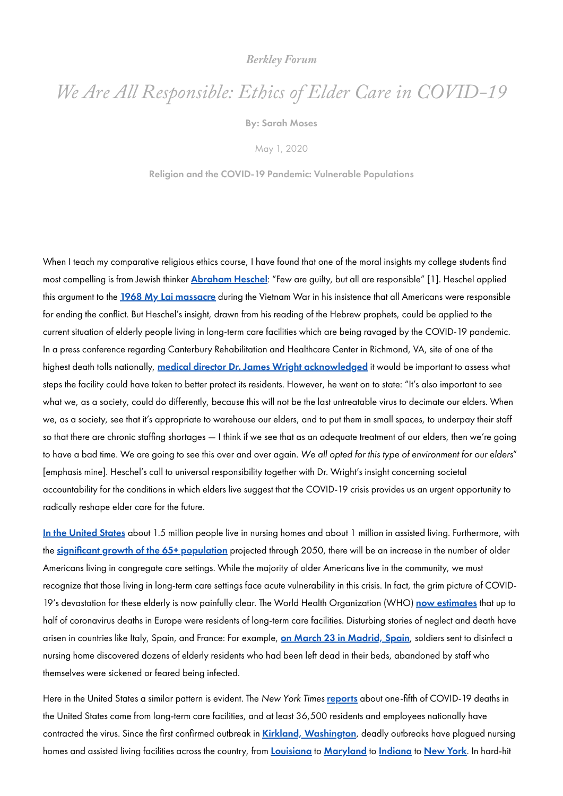### *[Berkley](https://berkleycenter.georgetown.edu/blogs/berkley-forum) Forum*

# *We Are All Responsible: Ethics of Elder Care in COVID-19*

By: Sarah [Moses](https://berkleycenter.georgetown.edu/people/sarah-moses)

May 1, 2020

Religion and the COVID-19 Pandemic: Vulnerable [Populations](https://berkleycenter.georgetown.edu/posts/religion-and-the-covid-19-pandemic-vulnerable-populations)

When I teach my comparative religious ethics course, I have found that one of the moral insights my college students find most compelling is from Jewish thinker **[Abraham](https://www.britannica.com/biography/Abraham-Joshua-Heschel) Heschel**: "Few are guilty, but all are responsible" [1]. Heschel applied this argument to the <mark>1968 My Lai [massacre](https://www.britannica.com/event/My-Lai-Massacre)</mark> during the Vietnam War in his insistence that all Americans were responsible for ending the conflict. But Heschel's insight, drawn from his reading of the Hebrew prophets, could be applied to the current situation of elderly people living in long-term care facilities which are being ravaged by the COVID-19 pandemic. In a press conference regarding Canterbury Rehabilitation and Healthcare Center in Richmond, VA, site of one of the highest death tolls nationally, medical director Dr. James Wright [acknowledged](https://www.washingtonpost.com/local/virginia-politics/at-va-facility-where-virus-kills-40-doctor-blames-societys-willing-to-warehouse-elders/2020/04/10/afd329d4-7b85-11ea-a130-df573469f094_story.html) it would be important to assess what steps the facility could have taken to better protect its residents. However, he went on to state: "It's also important to see what we, as a society, could do differently, because this will not be the last untreatable virus to decimate our elders. When we, as a society, see that it's appropriate to warehouse our elders, and to put them in small spaces, to underpay their staff so that there are chronic staffing shortages — I think if we see that as an adequate treatment of our elders, then we're going to have a bad time. We are going to see this over and over again. We all opted for this type of environment for our elders" [emphasis mine]. Heschel's call to universal responsibility together with Dr. Wright's insight concerning societal accountability for the conditions in which elders live suggest that the COVID-19 crisis provides us an urgent opportunity to radically reshape elder care for the future.

In the [United](https://www.ncbi.nlm.nih.gov/books/NBK51841/) States about 1.5 million people live in nursing homes and about 1 million in assisted living. Furthermore, with the significant growth of the [65+ population](https://www.caregiver.org/selected-long-term-care-statistics) projected through 2050, there will be an increase in the number of older Americans living in congregate care settings. While the majority of older Americans live in the community, we must recognize that those living in long-term care settings face acute vulnerability in this crisis. In fact, the grim picture of COVID19's devastation for these elderly is now painfully clear. The World Health Organization (WHO) now [estimates](https://www.washingtonpost.com/world/europe/nursing-homes-coronavirus-deaths-europe/2020/04/23/d635619c-8561-11ea-81a3-9690c9881111_story.html) that up to

half of coronavirus deaths in Europe were residents of long-term care facilities. Disturbing stories of neglect and death have arisen in countries like Italy, Spain, and France: For example, <mark>on March 23 in [Madrid,](https://www.npr.org/sections/coronavirus-live-updates/2020/03/24/820711855/spanish-military-finds-dead-bodies-and-seniors-completely-abandoned-in-care-home) Spain</mark>, soldiers sent to disinfect a nursing home discovered dozens of elderly residents who had been left dead in their beds, abandoned by staff who themselves were sickened or feared being infected.

Here in the United States a similar pattern is evident. The New York Times [reports](https://www.nytimes.com/2020/04/17/us/coronavirus-nursing-homes.html) about one-fifth of COVID-19 deaths in the United States come from long-term care facilities, and at least 36,500 residents and employees nationally have contracted the virus. Since the first confirmed outbreak in Kirkland, [Washington](https://www.nytimes.com/2020/03/21/us/coronavirus-nursing-home-kirkland-life-care.html), deadly outbreaks have plagued nursing homes and assisted living facilities across the country, from <u>Lo**uisiana** to [Maryland](https://www.washingtonpost.com/local/maryland-news/pleasant-view-coronavirus-outbreak-carroll-county/2020/04/04/4a4bb2c2-7520-11ea-87da-77a8136c1a6d_story.html)</u> to <u>[Indiana](https://www.southbendtribune.com/news/local/coronavirus-cases-at-care-facility-top-60-as-families-still-air-complaints-about-cardinal-nursing/article_c8f5ab2c-834a-11ea-b2c6-9f3fa2b1a258.html)</u> to <u>[New](https://www.nytimes.com/2020/04/11/nyregion/nursing-homes-deaths-coronavirus.html) York</u>. In hard-hit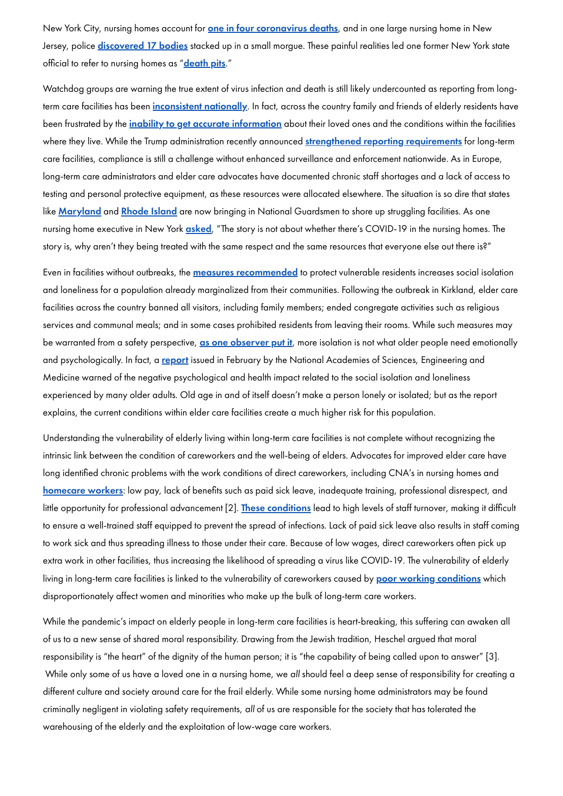New York City, nursing homes account for **one in four [coronavirus](https://www.nytimes.com/2020/03/31/nyregion/coronavirus-nursing-homes-nyc.html?action=click&module=RelatedLinks&pgtype=Article) deaths**, and in one large nursing home in New Jersey, police **[discovered](https://www.nytimes.com/2020/04/15/nyregion/coronavirus-nj-andover-nursing-home-deaths.html) 17 bodies** stacked up in a small morgue. These painful realities led one former New York state official to refer to nursing homes as "<u>[death](https://www.nytimes.com/2020/04/17/us/coronavirus-nursing-homes.html) pits</u>."

Watchdog groups are warning the true extent of virus infection and death is still likely undercounted as reporting from longterm care facilities has been *[inconsistent](https://www.washingtonpost.com/business/2020/04/20/nearly-one-10-nursing-homes-nationwide-report-coronavirus-outbreaks/) nationally*. In fact, across the country family and friends of elderly residents have been frustrated by the *inability to get accurate [information](https://www.nytimes.com/2020/04/16/nyregion/new-york-nj-nursing-homes-coronavirus-deaths.html?action=click&module=Top%20Stories&pgtype=Homepage)* about their loved ones and the conditions within the facilities where they live. While the Trump administration recently announced strengthened reporting [requirements](https://www.cms.gov/newsroom/press-releases/trump-administration-announces-new-nursing-homes-covid-19-transparency-effort) for long-term care facilities, compliance is still a challenge without enhanced surveillance and enforcement nationwide. As in Europe, long-term care administrators and elder care advocates have documented chronic staff shortages and a lack of access to testing and personal protective equipment, as these resources were allocated elsewhere. The situation is so dire that states like <mark>[Maryland](https://www.washingtonpost.com/local/virginia-politics/maryland-forms-strike-teams-to-combat-nursing-home-coronavirus-outbreaks-in/2020/04/07/0792b312-78f5-11ea-a130-df573469f094_story.html)</mark> and <mark>[Rhode](https://www.providencejournal.com/news/20200424/raimondo-asks-national-guard-to-help-staff-nursing-homes-state-to-begin-testing-for-virus-antibodies) Island</mark> are now bringing in National Guardsmen to shore up struggling facilities. As one nursing home executive in New York *[asked](https://www.businessinsider.com/covid-19-death-toll-nursing-homes-federal-government-estimate-2020-4)*, "The story is not about whether there's COVID-19 in the nursing homes. The story is, why aren't they being treated with the same respect and the same resources that everyone else out there is?"

Even in facilities without outbreaks, the **measures [recommended](https://www.cms.gov/newsroom/press-releases/cms-announces-new-measures-protect-nursing-home-residents-covid-19)** to protect vulnerable residents increases social isolation and loneliness for a population already marginalized from their communities. Following the outbreak in Kirkland, elder care facilities across the country banned all visitors, including family members; ended congregate activities such as religious services and communal meals; and in some cases prohibited residents from leaving their rooms. While such measures may be warranted from a safety perspective, as one [observer](https://www.nytimes.com/2020/04/13/health/coronavirus-elderly-isolation-loneliness.html?action=click&module=moreIn&pgtype=Article®ion=Footer&action=click&module=MoreInSection&pgtype=Article®ion=Footer&contentCollection=The%20Coronavirus%20Outbreak) put it, more isolation is not what older people need emotionally and psychologically. In fact, a [report](https://www.nationalacademies.org/our-work/the-health-and-medical-dimensions-of-social-isolation-and-loneliness-in-older-adults) issued in February by the National Academies of Sciences, Engineering and Medicine warned of the negative psychological and health impact related to the social isolation and loneliness experienced by many older adults. Old age in and of itself doesn't make a person lonely or isolated; but as the report explains, the current conditions within elder care facilities create a much higher risk for this population.

Understanding the vulnerability of elderly living within long-term care facilities is not complete without recognizing the intrinsic link between the condition of careworkers and the well-being of elders. Advocates for improved elder care have long identified chronic problems with the work conditions of direct careworkers, including CNA's in nursing homes and [homecare](https://www.wbur.org/hereandnow/2020/04/01/home-care-workers-coronavirus) workers: low pay, lack of benefits such as paid sick leave, inadequate training, professional disrespect, and little opportunity for professional advancement [2]. These [conditions](https://www.pbs.org/newshour/health/nursing-home-outbreaks-lay-bare-chronic-industry-problems) lead to high levels of staff turnover, making it difficult to ensure a well-trained staff equipped to prevent the spread of infections. Lack of paid sick leave also results in staff coming to work sick and thus spreading illness to those under their care. Because of low wages, direct careworkers often pick up extra work in other facilities, thus increasing the likelihood of spreading a virus like COVID-19. The vulnerability of elderly living in long-term care facilities is linked to the vulnerability of careworkers caused by poor working [conditions](https://www.washingtonpost.com/opinions/2020/04/24/nursing-homes-deserve-our-prayers-serious-reforms/) which disproportionately affect women and minorities who make up the bulk of long-term care workers.

While the pandemic's impact on elderly people in long-term care facilities is heart-breaking, this suffering can awaken all of us to a new sense of shared moral responsibility. Drawing from the Jewish tradition, Heschel argued that moral responsibility is "the heart" of the dignity of the human person; it is "the capability of being called upon to answer" [3]. While only some of us have a loved one in a nursing home, we all should feel a deep sense of responsibility for creating a different culture and society around care for the frail elderly. While some nursing home administrators may be found criminally negligent in violating safety requirements, all of us are responsible for the society that has tolerated the warehousing of the elderly and the exploitation of low-wage care workers.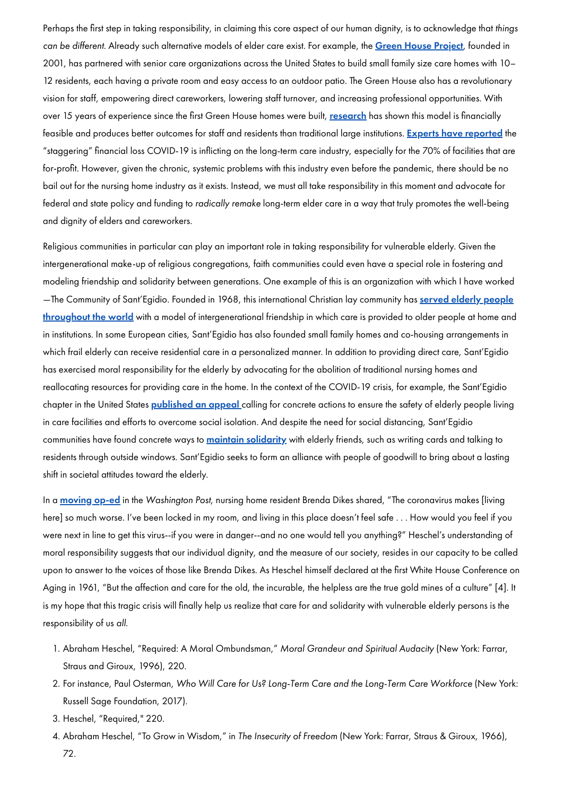Perhaps the first step in taking responsibility, in claiming this core aspect of our human dignity, is to acknowledge that things can be different. Already such alternative models of elder care exist. For example, the Green House [Project](https://www.thegreenhouseproject.org/), founded in 2001, has partnered with senior care organizations across the United States to build small family size care homes with 10– 12 residents, each having a private room and easy access to an outdoor patio. The Green House also has a revolutionary vision for staff, empowering direct careworkers, lowering staff turnover, and increasing professional opportunities. With over 15 years of experience since the first Green House homes were built, [research](https://www.thegreenhouseproject.org/resources/research) has shown this model is financially feasible and produces better outcomes for staff and residents than traditional large institutions. Experts have [reported](https://www.nytimes.com/2020/04/21/business/coronavirus-nursing-home-finances.html) the "staggering" financial loss COVID-19 is inflicting on the long-term care industry, especially for the 70% of facilities that are for-profit. However, given the chronic, systemic problems with this industry even before the pandemic, there should be no bail out for the nursing home industry as it exists. Instead, we must all take responsibility in this moment and advocate for federal and state policy and funding to radically remake long-term elder care in a way that truly promotes the well-being and dignity of elders and careworkers.

In a <mark>[moving](https://www.washingtonpost.com/outlook/we-wait-in-our-nursing-home-helpless/2020/04/22/8900c0c4-83f4-11ea-a3eb-e9fc93160703_story.html) op-ed</mark> in the Washington Post, nursing home resident Brenda Dikes shared, "The coronavirus makes [living here] so much worse. I've been locked in my room, and living in this place doesn't feel safe . . . How would you feel if you were next in line to get this virus--if you were in danger--and no one would tell you anything?" Heschel's understanding of moral responsibility suggests that our individual dignity, and the measure of our society, resides in our capacity to be called upon to answer to the voices of those like Brenda Dikes. As Heschel himself declared at the first White House Conference on Aging in 1961, "But the affection and care for the old, the incurable, the helpless are the true gold mines of a culture" [4]. It

Religious communities in particular can play an important role in taking responsibility for vulnerable elderly. Given the intergenerational make-up of religious congregations, faith communities could even have a special role in fostering and modeling friendship and solidarity between generations. One example of this is an organization with which I have worked —The Community of Sant'Egidio. Founded in 1968, this international Christian lay community has served elderly people throughout the world with a model of [intergenerational](https://www.santegidio.org/pageID/30088/langID/en/The-Elderly.html) friendship in which care is provided to older people at home and in institutions. In some European cities, Sant'Egidio has also founded small family homes and co-housing arrangements in which frail elderly can receive residential care in a personalized manner. In addition to providing direct care, Sant'Egidio has exercised moral responsibility for the elderly by advocating for the abolition of traditional nursing homes and reallocating resources for providing care in the home. In the context of the COVID-19 crisis, for example, the Sant'Egidio chapter in the United States <mark>[published](http://www.santegidiousa.org/2020/04/23/appeal-for-the-elderly-in-crisis-during-covid-19/) an appeal</mark> calling for concrete actions to ensure the safety of elderly people living in care facilities and efforts to overcome social isolation. And despite the need for social distancing, Sant'Egidio communities have found concrete ways to <u>maintain s**olidarity**</u> with elderly friends, such as writing cards and talking to residents through outside windows. Sant'Egidio seeks to form an alliance with people of goodwill to bring about a lasting shift in societal attitudes toward the elderly.

is my hope that this tragic crisis will finally help us realize that care for and solidarity with vulnerable elderly persons is the responsibility of us all.

1. Abraham Heschel, "Required: A Moral Ombundsman," Moral Grandeur and Spiritual Audacity (New York: Farrar, Straus and Giroux, 1996), 220.

2. For instance, Paul Osterman, Who Will Care for Us? Long-Term Care and the Long-Term Care Workforce (New York: Russell Sage Foundation, 2017).

3. Heschel, "Required," 220.

4. Abraham Heschel, "To Grow in Wisdom," in The Insecurity of Freedom (New York: Farrar, Straus & Giroux, 1966),

72.